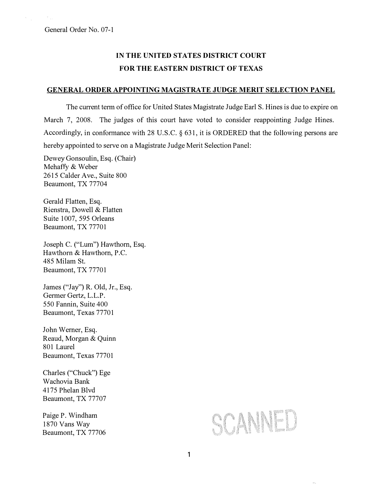## IN THE UNITED STATES DISTRICT COURT FOR THE EASTERN DISTRICT OF TEXAS

## GENERAL ORDER APPOINTING MAGISTRATE JUDGE MERIT SELECTION PANEL

The current term of office for United States Magistrate Judge Earl S. Hines is due to expire on March 7, 2008. The judges of this court have voted to consider reappointing Judge Hines. Accordingly, in conformance with 28 U.S.C. § 631, it is ORDERED that the following persons are hereby appointed to serve on a Magistrate Judge Merit Selection Panel:

Dewey Gonsoulin, Esq. (Chair) Mehaffy & Weber 2615 Calder Ave., Suite 800 Beaumont, TX 77704

Gerald Flatten, Esq. Rienstra, Dowell & Flatten Suite 1007, 595 Orleans Beaumont, TX 77701

Joseph C. ("Lum") Hawthorn, Esq. Hawthorn & Hawthorn, P.C. 485 Milam St. Beaumont, TX 77701

James ("Jay") R. Old, Jr., Esq. Germer Gertz, L.L.P. 550 Fannin, Suite 400 Beaumont, Texas 77701

John Werner, Esq. Reaud, Morgan & Quinn 801 Laurel Beaumont, Texas 77701

Charles ("Chuck") Ege Wachovia Bank 4175 Phelan Blvd Beaumont, TX 77707

Paige P. Windham 1870 Vans Way Beaumont, TX 77706

## SCANNED